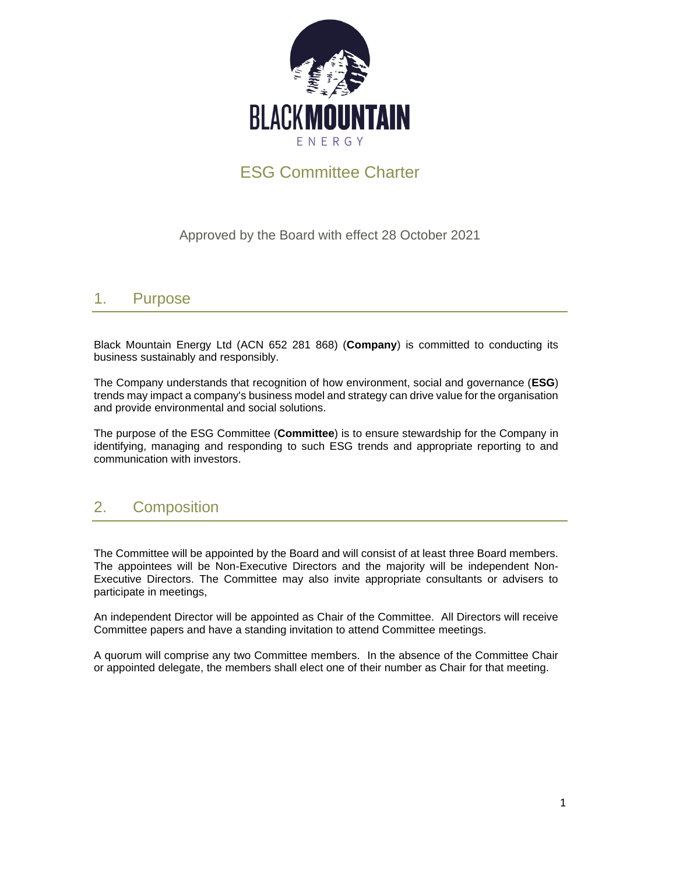

# ESG Committee Charter

Approved by the Board with effect 28 October 2021

#### 1. Purpose

Black Mountain Energy Ltd (ACN 652 281 868) (**Company**) is committed to conducting its business sustainably and responsibly.

The Company understands that recognition of how environment, social and governance (**ESG**) trends may impact a company's business model and strategy can drive value for the organisation and provide environmental and social solutions.

The purpose of the ESG Committee (**Committee**) is to ensure stewardship for the Company in identifying, managing and responding to such ESG trends and appropriate reporting to and communication with investors.

### 2. Composition

The Committee will be appointed by the Board and will consist of at least three Board members. The appointees will be Non-Executive Directors and the majority will be independent Non-Executive Directors. The Committee may also invite appropriate consultants or advisers to participate in meetings,

An independent Director will be appointed as Chair of the Committee. All Directors will receive Committee papers and have a standing invitation to attend Committee meetings.

A quorum will comprise any two Committee members. In the absence of the Committee Chair or appointed delegate, the members shall elect one of their number as Chair for that meeting.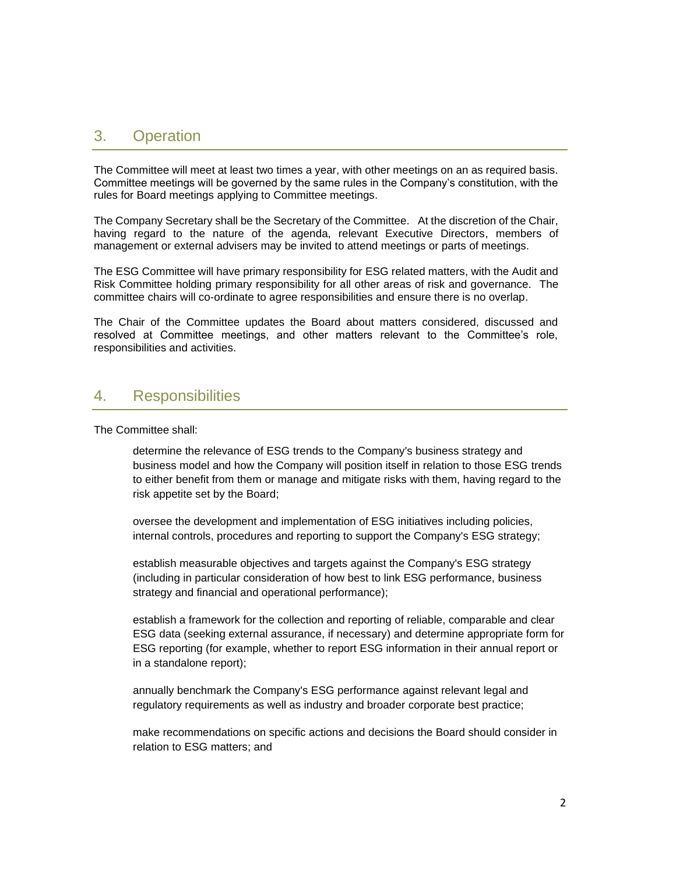### 3. Operation

The Committee will meet at least two times a year, with other meetings on an as required basis. Committee meetings will be governed by the same rules in the Company's constitution, with the rules for Board meetings applying to Committee meetings.

The Company Secretary shall be the Secretary of the Committee. At the discretion of the Chair, having regard to the nature of the agenda, relevant Executive Directors, members of management or external advisers may be invited to attend meetings or parts of meetings.

The ESG Committee will have primary responsibility for ESG related matters, with the Audit and Risk Committee holding primary responsibility for all other areas of risk and governance. The committee chairs will co-ordinate to agree responsibilities and ensure there is no overlap.

The Chair of the Committee updates the Board about matters considered, discussed and resolved at Committee meetings, and other matters relevant to the Committee's role, responsibilities and activities.

#### 4. Responsibilities

#### The Committee shall:

determine the relevance of ESG trends to the Company's business strategy and business model and how the Company will position itself in relation to those ESG trends to either benefit from them or manage and mitigate risks with them, having regard to the risk appetite set by the Board;

oversee the development and implementation of ESG initiatives including policies, internal controls, procedures and reporting to support the Company's ESG strategy;

establish measurable objectives and targets against the Company's ESG strategy (including in particular consideration of how best to link ESG performance, business strategy and financial and operational performance);

establish a framework for the collection and reporting of reliable, comparable and clear ESG data (seeking external assurance, if necessary) and determine appropriate form for ESG reporting (for example, whether to report ESG information in their annual report or in a standalone report);

annually benchmark the Company's ESG performance against relevant legal and regulatory requirements as well as industry and broader corporate best practice;

make recommendations on specific actions and decisions the Board should consider in relation to ESG matters; and